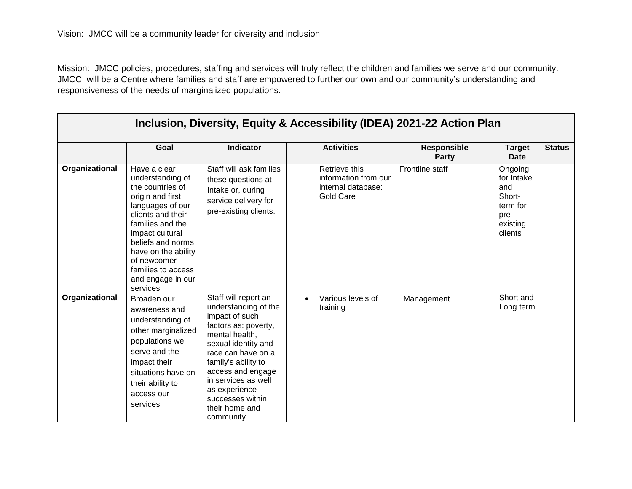| Inclusion, Diversity, Equity & Accessibility (IDEA) 2021-22 Action Plan |                                                                                                                                                                                                                                                                            |                                                                                                                                                                                                                                                                                              |                                                                          |                                    |                                                                                   |               |  |
|-------------------------------------------------------------------------|----------------------------------------------------------------------------------------------------------------------------------------------------------------------------------------------------------------------------------------------------------------------------|----------------------------------------------------------------------------------------------------------------------------------------------------------------------------------------------------------------------------------------------------------------------------------------------|--------------------------------------------------------------------------|------------------------------------|-----------------------------------------------------------------------------------|---------------|--|
|                                                                         | Goal                                                                                                                                                                                                                                                                       | <b>Indicator</b>                                                                                                                                                                                                                                                                             | <b>Activities</b>                                                        | <b>Responsible</b><br><b>Party</b> | <b>Target</b><br><b>Date</b>                                                      | <b>Status</b> |  |
| Organizational                                                          | Have a clear<br>understanding of<br>the countries of<br>origin and first<br>languages of our<br>clients and their<br>families and the<br>impact cultural<br>beliefs and norms<br>have on the ability<br>of newcomer<br>families to access<br>and engage in our<br>services | Staff will ask families<br>these questions at<br>Intake or, during<br>service delivery for<br>pre-existing clients.                                                                                                                                                                          | Retrieve this<br>information from our<br>internal database:<br>Gold Care | Frontline staff                    | Ongoing<br>for Intake<br>and<br>Short-<br>term for<br>pre-<br>existing<br>clients |               |  |
| Organizational                                                          | Broaden our<br>awareness and<br>understanding of<br>other marginalized<br>populations we<br>serve and the<br>impact their<br>situations have on<br>their ability to<br>access our<br>services                                                                              | Staff will report an<br>understanding of the<br>impact of such<br>factors as: poverty,<br>mental health,<br>sexual identity and<br>race can have on a<br>family's ability to<br>access and engage<br>in services as well<br>as experience<br>successes within<br>their home and<br>community | Various levels of<br>training                                            | Management                         | Short and<br>Long term                                                            |               |  |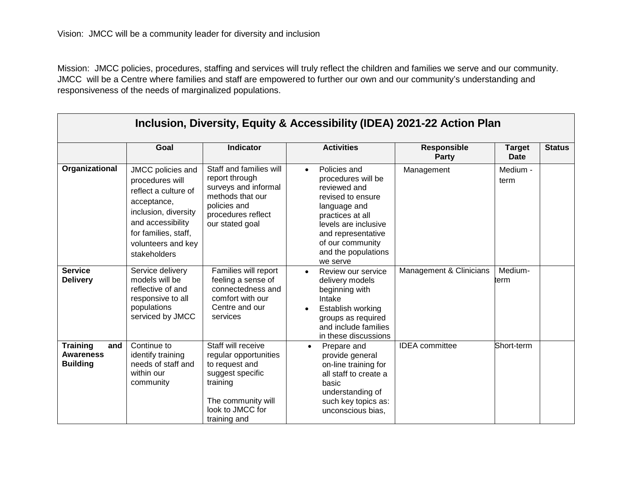| Inclusion, Diversity, Equity & Accessibility (IDEA) 2021-22 Action Plan |                                                                                                                                                                                        |                                                                                                                                                         |                                                                                                                                                                                                                               |                                    |                              |               |  |
|-------------------------------------------------------------------------|----------------------------------------------------------------------------------------------------------------------------------------------------------------------------------------|---------------------------------------------------------------------------------------------------------------------------------------------------------|-------------------------------------------------------------------------------------------------------------------------------------------------------------------------------------------------------------------------------|------------------------------------|------------------------------|---------------|--|
|                                                                         | Goal                                                                                                                                                                                   | <b>Indicator</b>                                                                                                                                        | <b>Activities</b>                                                                                                                                                                                                             | <b>Responsible</b><br><b>Party</b> | <b>Target</b><br><b>Date</b> | <b>Status</b> |  |
| Organizational                                                          | JMCC policies and<br>procedures will<br>reflect a culture of<br>acceptance,<br>inclusion, diversity<br>and accessibility<br>for families, staff,<br>volunteers and key<br>stakeholders | Staff and families will<br>report through<br>surveys and informal<br>methods that our<br>policies and<br>procedures reflect<br>our stated goal          | Policies and<br>$\bullet$<br>procedures will be<br>reviewed and<br>revised to ensure<br>language and<br>practices at all<br>levels are inclusive<br>and representative<br>of our community<br>and the populations<br>we serve | Management                         | Medium -<br>term             |               |  |
| <b>Service</b><br><b>Delivery</b>                                       | Service delivery<br>models will be<br>reflective of and<br>responsive to all<br>populations<br>serviced by JMCC                                                                        | Families will report<br>feeling a sense of<br>connectedness and<br>comfort with our<br>Centre and our<br>services                                       | Review our service<br>$\bullet$<br>delivery models<br>beginning with<br>Intake<br>Establish working<br>groups as required<br>and include families<br>in these discussions                                                     | Management & Clinicians            | Medium-<br>term              |               |  |
| <b>Training</b><br>and<br><b>Awareness</b><br><b>Building</b>           | Continue to<br>identify training<br>needs of staff and<br>within our<br>community                                                                                                      | Staff will receive<br>regular opportunities<br>to request and<br>suggest specific<br>training<br>The community will<br>look to JMCC for<br>training and | Prepare and<br>$\bullet$<br>provide general<br>on-line training for<br>all staff to create a<br>basic<br>understanding of<br>such key topics as:<br>unconscious bias,                                                         | <b>IDEA</b> committee              | Short-term                   |               |  |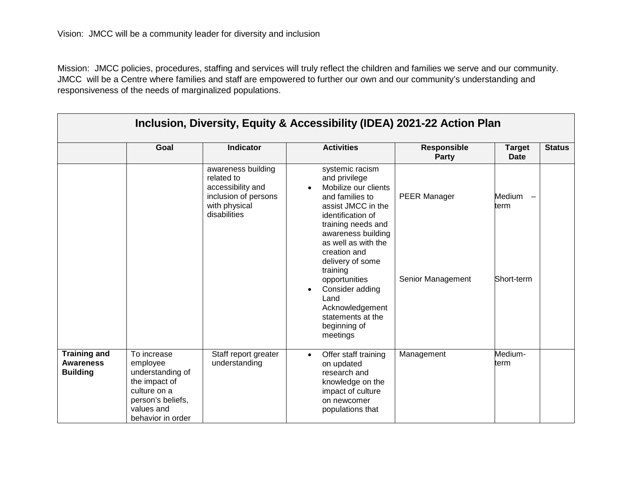| Inclusion, Diversity, Equity & Accessibility (IDEA) 2021-22 Action Plan |                                                                                                                                      |                                                                                                                |                                                                                                                                                                                                                                                                                                                                                                                     |                                          |                              |               |  |
|-------------------------------------------------------------------------|--------------------------------------------------------------------------------------------------------------------------------------|----------------------------------------------------------------------------------------------------------------|-------------------------------------------------------------------------------------------------------------------------------------------------------------------------------------------------------------------------------------------------------------------------------------------------------------------------------------------------------------------------------------|------------------------------------------|------------------------------|---------------|--|
|                                                                         | Goal                                                                                                                                 | <b>Indicator</b>                                                                                               | <b>Activities</b>                                                                                                                                                                                                                                                                                                                                                                   | <b>Responsible</b><br><b>Party</b>       | <b>Target</b><br><b>Date</b> | <b>Status</b> |  |
|                                                                         |                                                                                                                                      | awareness building<br>related to<br>accessibility and<br>inclusion of persons<br>with physical<br>disabilities | systemic racism<br>and privilege<br>Mobilize our clients<br>$\bullet$<br>and families to<br>assist JMCC in the<br>identification of<br>training needs and<br>awareness building<br>as well as with the<br>creation and<br>delivery of some<br>training<br>opportunities<br>Consider adding<br>$\bullet$<br>Land<br>Acknowledgement<br>statements at the<br>beginning of<br>meetings | <b>PEER Manager</b><br>Senior Management | Medium<br>term<br>Short-term |               |  |
| <b>Training and</b><br><b>Awareness</b><br><b>Building</b>              | To increase<br>employee<br>understanding of<br>the impact of<br>culture on a<br>person's beliefs,<br>values and<br>behavior in order | Staff report greater<br>understanding                                                                          | Offer staff training<br>$\bullet$<br>on updated<br>research and<br>knowledge on the<br>impact of culture<br>on newcomer<br>populations that                                                                                                                                                                                                                                         | Management                               | Medium-<br>term              |               |  |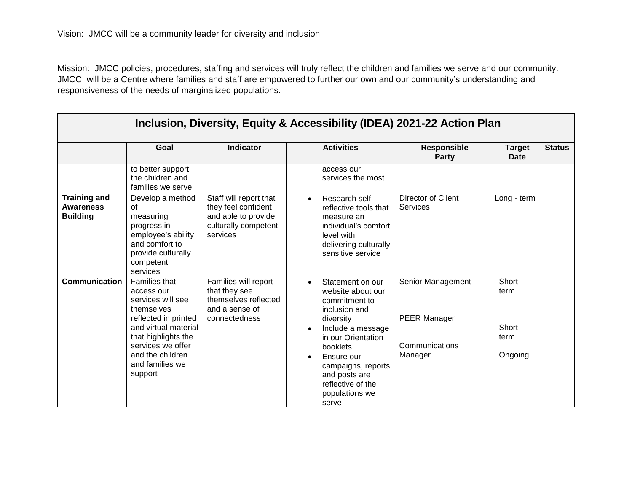| Inclusion, Diversity, Equity & Accessibility (IDEA) 2021-22 Action Plan |                                                                                                                                                                                                                     |                                                                                                          |                                                                                                                                                                                                                                                                                                                                                                  |                                                   |  |  |  |
|-------------------------------------------------------------------------|---------------------------------------------------------------------------------------------------------------------------------------------------------------------------------------------------------------------|----------------------------------------------------------------------------------------------------------|------------------------------------------------------------------------------------------------------------------------------------------------------------------------------------------------------------------------------------------------------------------------------------------------------------------------------------------------------------------|---------------------------------------------------|--|--|--|
|                                                                         | Goal                                                                                                                                                                                                                | <b>Indicator</b>                                                                                         | <b>Activities</b><br><b>Responsible</b><br>Party                                                                                                                                                                                                                                                                                                                 | <b>Status</b><br><b>Target</b><br><b>Date</b>     |  |  |  |
|                                                                         | to better support<br>the children and<br>families we serve                                                                                                                                                          |                                                                                                          | access our<br>services the most                                                                                                                                                                                                                                                                                                                                  |                                                   |  |  |  |
| <b>Training and</b><br><b>Awareness</b><br><b>Building</b>              | Develop a method<br>οf<br>measuring<br>progress in<br>employee's ability<br>and comfort to<br>provide culturally<br>competent<br>services                                                                           | Staff will report that<br>they feel confident<br>and able to provide<br>culturally competent<br>services | <b>Director of Client</b><br>Research self-<br>$\bullet$<br>Services<br>reflective tools that<br>measure an<br>individual's comfort<br>level with<br>delivering culturally<br>sensitive service                                                                                                                                                                  | ong - term                                        |  |  |  |
| <b>Communication</b>                                                    | <b>Families that</b><br>access our<br>services will see<br>themselves<br>reflected in printed<br>and virtual material<br>that highlights the<br>services we offer<br>and the children<br>and families we<br>support | Families will report<br>that they see<br>themselves reflected<br>and a sense of<br>connectedness         | Senior Management<br>Statement on our<br>$\bullet$<br>website about our<br>commitment to<br>inclusion and<br><b>PEER Manager</b><br>diversity<br>Include a message<br>$\bullet$<br>in our Orientation<br>Communications<br>booklets<br>Manager<br>Ensure our<br>$\bullet$<br>campaigns, reports<br>and posts are<br>reflective of the<br>populations we<br>serve | $Short -$<br>term<br>$Short -$<br>term<br>Ongoing |  |  |  |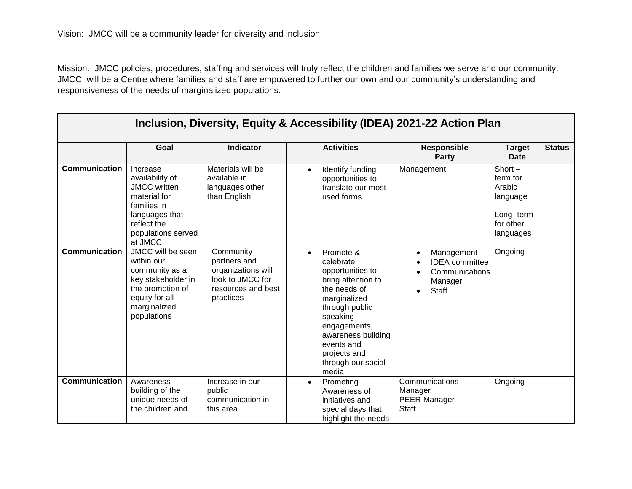| Inclusion, Diversity, Equity & Accessibility (IDEA) 2021-22 Action Plan |                                                                                                                                                     |                                                                                                        |                                                                                                                                                                                                                                                |                                                                                               |                                                                                    |               |  |
|-------------------------------------------------------------------------|-----------------------------------------------------------------------------------------------------------------------------------------------------|--------------------------------------------------------------------------------------------------------|------------------------------------------------------------------------------------------------------------------------------------------------------------------------------------------------------------------------------------------------|-----------------------------------------------------------------------------------------------|------------------------------------------------------------------------------------|---------------|--|
|                                                                         | Goal                                                                                                                                                | <b>Indicator</b>                                                                                       | <b>Activities</b>                                                                                                                                                                                                                              | <b>Responsible</b><br><b>Party</b>                                                            | <b>Target</b><br><b>Date</b>                                                       | <b>Status</b> |  |
| <b>Communication</b>                                                    | Increase<br>availability of<br><b>JMCC</b> written<br>material for<br>families in<br>languages that<br>reflect the<br>populations served<br>at JMCC | Materials will be<br>available in<br>languages other<br>than English                                   | Identify funding<br>$\bullet$<br>opportunities to<br>translate our most<br>used forms                                                                                                                                                          | Management                                                                                    | Short $-$<br>term for<br>Arabic<br>language<br>Long-term<br>for other<br>languages |               |  |
| <b>Communication</b>                                                    | JMCC will be seen<br>within our<br>community as a<br>key stakeholder in<br>the promotion of<br>equity for all<br>marginalized<br>populations        | Community<br>partners and<br>organizations will<br>look to JMCC for<br>resources and best<br>practices | Promote &<br>$\bullet$<br>celebrate<br>opportunities to<br>bring attention to<br>the needs of<br>marginalized<br>through public<br>speaking<br>engagements,<br>awareness building<br>events and<br>projects and<br>through our social<br>media | Management<br>$\bullet$<br><b>IDEA</b> committee<br>Communications<br>Manager<br><b>Staff</b> | Ongoing                                                                            |               |  |
| <b>Communication</b>                                                    | Awareness<br>building of the<br>unique needs of<br>the children and                                                                                 | Increase in our<br>public<br>communication in<br>this area                                             | Promoting<br>$\bullet$<br>Awareness of<br>initiatives and<br>special days that<br>highlight the needs                                                                                                                                          | Communications<br>Manager<br><b>PEER Manager</b><br><b>Staff</b>                              | Ongoing                                                                            |               |  |